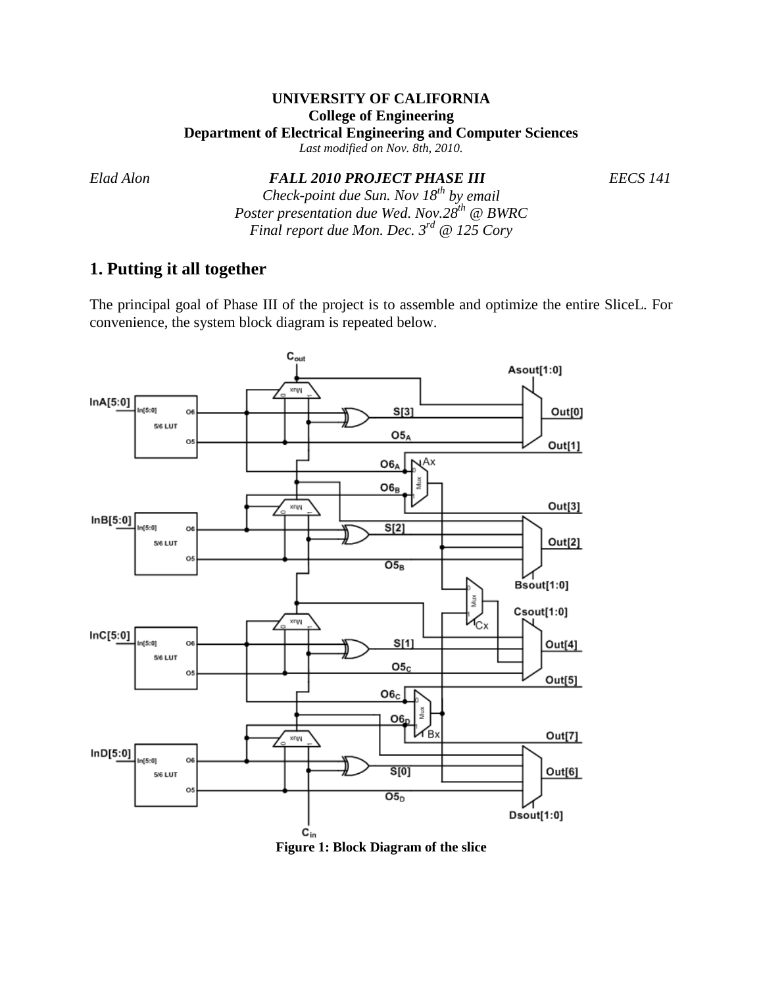## **UNIVERSITY OF CALIFORNIA College of Engineering Department of Electrical Engineering and Computer Sciences**

*Last modified on Nov. 8th, 2010.*

*Elad Alon FALL 2010 PROJECT PHASE III EECS 141*

*Check-point due Sun. Nov 18th by email Poster presentation due Wed. Nov.28th @ BWRC Final report due Mon. Dec. 3rd @ 125 Cory*

# **1. Putting it all together**

The principal goal of Phase III of the project is to assemble and optimize the entire SliceL. For convenience, the system block diagram is repeated below.



**Figure 1: Block Diagram of the slice**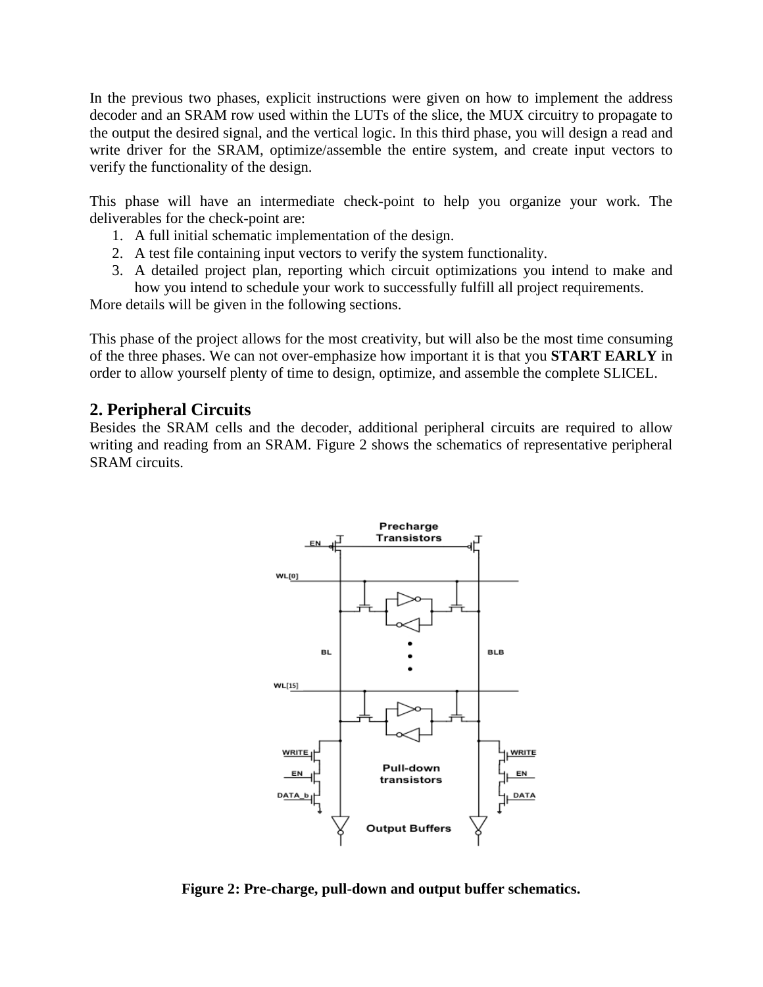In the previous two phases, explicit instructions were given on how to implement the address decoder and an SRAM row used within the LUTs of the slice, the MUX circuitry to propagate to the output the desired signal, and the vertical logic. In this third phase, you will design a read and write driver for the SRAM, optimize/assemble the entire system, and create input vectors to verify the functionality of the design.

This phase will have an intermediate check-point to help you organize your work. The deliverables for the check-point are:

- 1. A full initial schematic implementation of the design.
- 2. A test file containing input vectors to verify the system functionality.
- 3. A detailed project plan, reporting which circuit optimizations you intend to make and how you intend to schedule your work to successfully fulfill all project requirements.

More details will be given in the following sections.

This phase of the project allows for the most creativity, but will also be the most time consuming of the three phases. We can not over-emphasize how important it is that you **START EARLY** in order to allow yourself plenty of time to design, optimize, and assemble the complete SLICEL.

## **2. Peripheral Circuits**

Besides the SRAM cells and the decoder, additional peripheral circuits are required to allow writing and reading from an SRAM. Figure 2 shows the schematics of representative peripheral SRAM circuits.



**Figure 2: Pre-charge, pull-down and output buffer schematics.**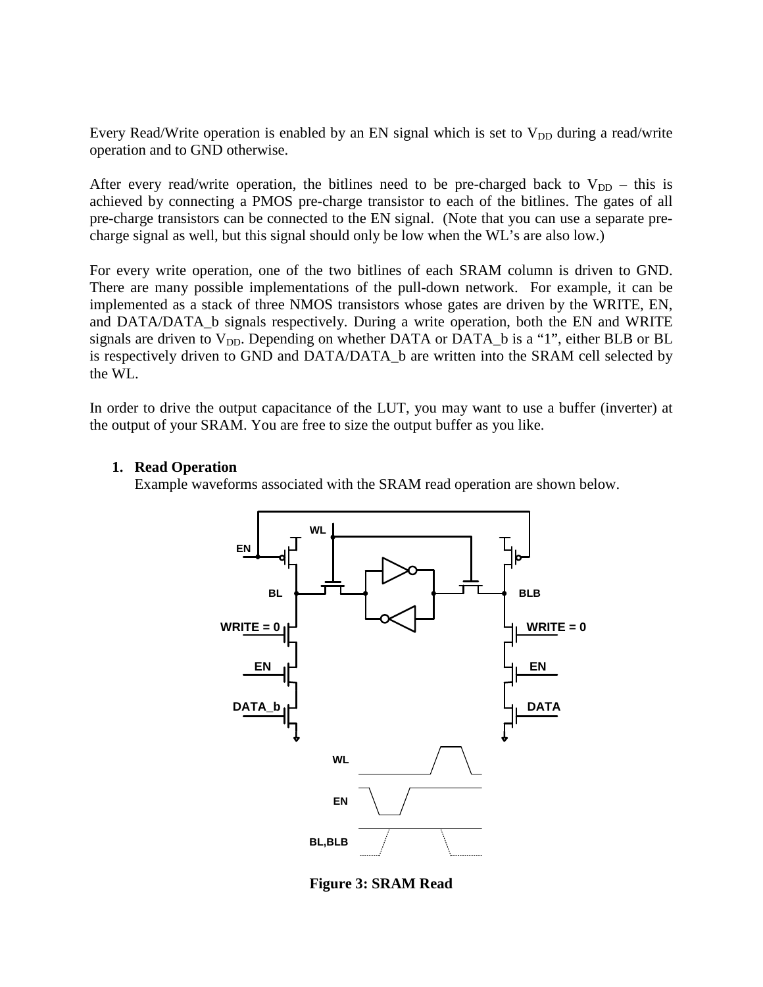Every Read/Write operation is enabled by an EN signal which is set to  $V_{DD}$  during a read/write operation and to GND otherwise.

After every read/write operation, the bitlines need to be pre-charged back to  $V_{DD}$  – this is achieved by connecting a PMOS pre-charge transistor to each of the bitlines. The gates of all pre-charge transistors can be connected to the EN signal. (Note that you can use a separate precharge signal as well, but this signal should only be low when the WL's are also low.)

For every write operation, one of the two bitlines of each SRAM column is driven to GND. There are many possible implementations of the pull-down network. For example, it can be implemented as a stack of three NMOS transistors whose gates are driven by the WRITE, EN, and DATA/DATA\_b signals respectively. During a write operation, both the EN and WRITE signals are driven to  $V_{DD}$ . Depending on whether DATA or DATA  $\Delta$  b is a "1", either BLB or BL is respectively driven to GND and DATA/DATA\_b are written into the SRAM cell selected by the WL.

In order to drive the output capacitance of the LUT, you may want to use a buffer (inverter) at the output of your SRAM. You are free to size the output buffer as you like.

### **1. Read Operation**

Example waveforms associated with the SRAM read operation are shown below.



**Figure 3: SRAM Read**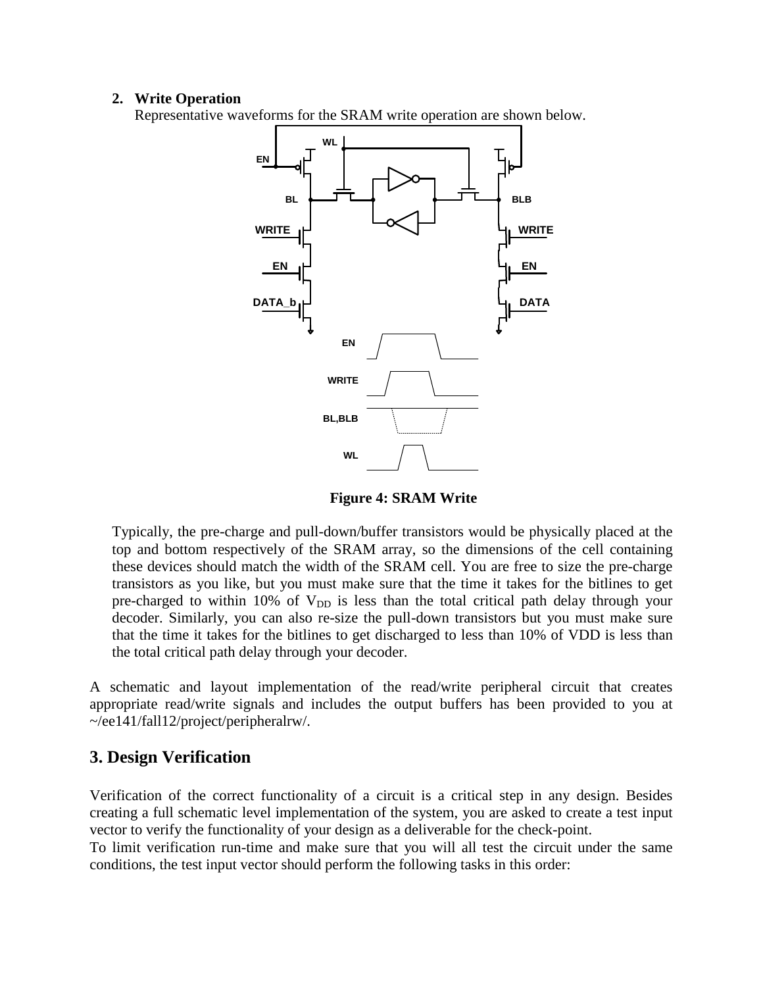#### **2. Write Operation**

Representative waveforms for the SRAM write operation are shown below.



**Figure 4: SRAM Write**

Typically, the pre-charge and pull-down/buffer transistors would be physically placed at the top and bottom respectively of the SRAM array, so the dimensions of the cell containing these devices should match the width of the SRAM cell. You are free to size the pre-charge transistors as you like, but you must make sure that the time it takes for the bitlines to get pre-charged to within 10% of  $V_{DD}$  is less than the total critical path delay through your decoder. Similarly, you can also re-size the pull-down transistors but you must make sure that the time it takes for the bitlines to get discharged to less than 10% of VDD is less than the total critical path delay through your decoder.

A schematic and layout implementation of the read/write peripheral circuit that creates appropriate read/write signals and includes the output buffers has been provided to you at ~/ee141/fall12/project/peripheralrw/.

## **3. Design Verification**

Verification of the correct functionality of a circuit is a critical step in any design. Besides creating a full schematic level implementation of the system, you are asked to create a test input vector to verify the functionality of your design as a deliverable for the check-point.

To limit verification run-time and make sure that you will all test the circuit under the same conditions, the test input vector should perform the following tasks in this order: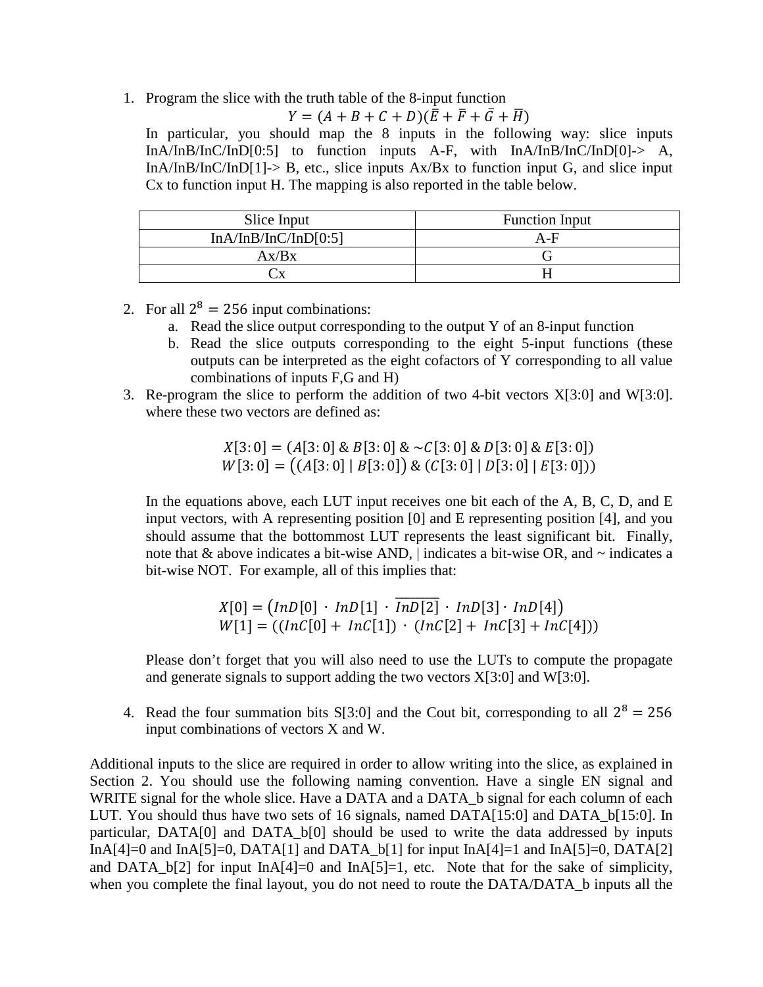1. Program the slice with the truth table of the 8-input function

$$
Y = (A + B + C + D)(\overline{E} + \overline{F} + \overline{G} + \overline{H})
$$

In particular, you should map the 8 inputs in the following way: slice inputs InA/InB/InC/InD[0:5] to function inputs A-F, with InA/InB/InC/InD[0]-> A, InA/InB/InC/InD[1]-> B, etc., slice inputs  $Ax/Bx$  to function input G, and slice input Cx to function input H. The mapping is also reported in the table below.

| Slice Input          | <b>Function Input</b> |
|----------------------|-----------------------|
| InA/InB/InC/InD[0:5] | $A-F$                 |
| Ax/Bx                |                       |
|                      |                       |

- 2. For all  $2^8 = 256$  input combinations:
	- a. Read the slice output corresponding to the output Y of an 8-input function
	- b. Read the slice outputs corresponding to the eight 5-input functions (these outputs can be interpreted as the eight cofactors of Y corresponding to all value combinations of inputs F,G and H)
- 3. Re-program the slice to perform the addition of two 4-bit vectors X[3:0] and W[3:0]. where these two vectors are defined as:

 $X[3: 0] = (A[3: 0] \& B[3: 0] \& \sim C[3: 0] \& D[3: 0] \& E[3: 0])$  $W[3: 0] = ((A[3: 0] | B[3: 0]) \& (C[3: 0] | D[3: 0] | E[3: 0]))$ 

In the equations above, each LUT input receives one bit each of the A, B, C, D, and E input vectors, with A representing position [0] and E representing position [4], and you should assume that the bottommost LUT represents the least significant bit. Finally, note that & above indicates a bit-wise AND, | indicates a bit-wise OR, and ~ indicates a bit-wise NOT. For example, all of this implies that:

$$
X[0] = (InD[0] \cdot InD[1] \cdot \overline{InD[2]} \cdot InD[3] \cdot InD[4])
$$
  
 
$$
W[1] = ((InC[0] + InC[1]) \cdot (InC[2] + InC[3] + InC[4]))
$$

Please don't forget that you will also need to use the LUTs to compute the propagate and generate signals to support adding the two vectors X[3:0] and W[3:0].

4. Read the four summation bits S[3:0] and the Cout bit, corresponding to all  $2^8 = 256$ input combinations of vectors X and W.

Additional inputs to the slice are required in order to allow writing into the slice, as explained in Section 2. You should use the following naming convention. Have a single EN signal and WRITE signal for the whole slice. Have a DATA and a DATA b signal for each column of each LUT. You should thus have two sets of 16 signals, named DATA[15:0] and DATA\_b[15:0]. In particular, DATA[0] and DATA\_b[0] should be used to write the data addressed by inputs InA[4]=0 and InA[5]=0, DATA[1] and DATA\_b[1] for input InA[4]=1 and InA[5]=0, DATA[2] and DATA  $b[2]$  for input InA[4]=0 and InA[5]=1, etc. Note that for the sake of simplicity, when you complete the final layout, you do not need to route the DATA/DATA\_b inputs all the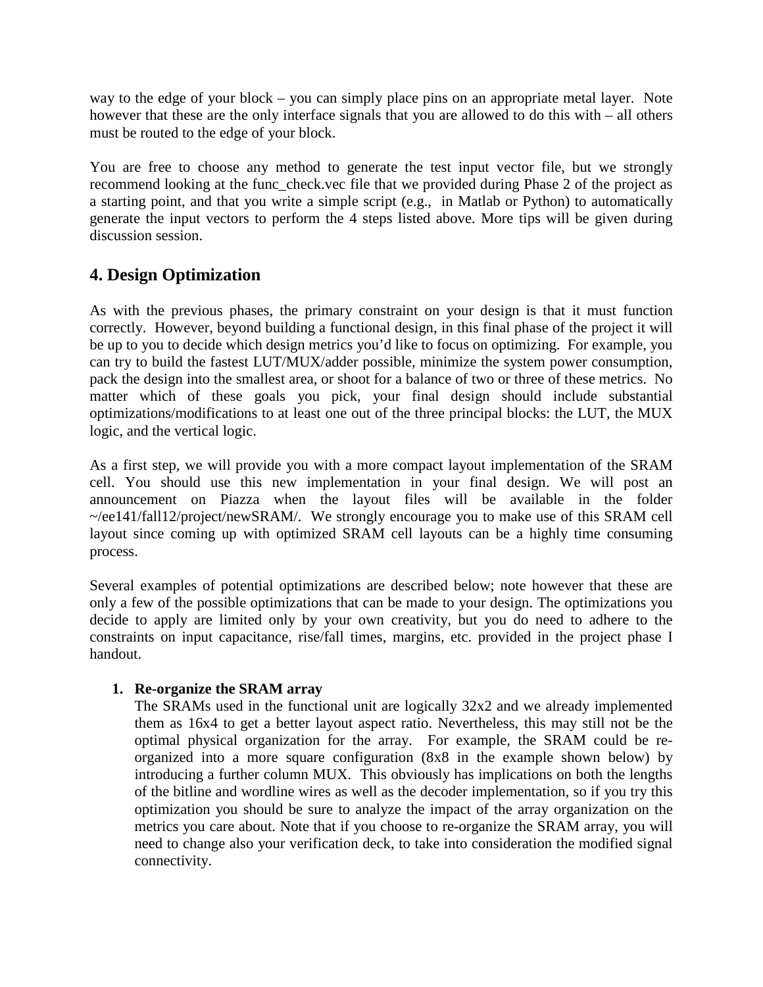way to the edge of your block – you can simply place pins on an appropriate metal layer. Note however that these are the only interface signals that you are allowed to do this with – all others must be routed to the edge of your block.

You are free to choose any method to generate the test input vector file, but we strongly recommend looking at the func\_check.vec file that we provided during Phase 2 of the project as a starting point, and that you write a simple script (e.g., in Matlab or Python) to automatically generate the input vectors to perform the 4 steps listed above. More tips will be given during discussion session.

## **4. Design Optimization**

As with the previous phases, the primary constraint on your design is that it must function correctly. However, beyond building a functional design, in this final phase of the project it will be up to you to decide which design metrics you'd like to focus on optimizing. For example, you can try to build the fastest LUT/MUX/adder possible, minimize the system power consumption, pack the design into the smallest area, or shoot for a balance of two or three of these metrics. No matter which of these goals you pick, your final design should include substantial optimizations/modifications to at least one out of the three principal blocks: the LUT, the MUX logic, and the vertical logic.

As a first step, we will provide you with a more compact layout implementation of the SRAM cell. You should use this new implementation in your final design. We will post an announcement on Piazza when the layout files will be available in the folder ~/ee141/fall12/project/newSRAM/. We strongly encourage you to make use of this SRAM cell layout since coming up with optimized SRAM cell layouts can be a highly time consuming process.

Several examples of potential optimizations are described below; note however that these are only a few of the possible optimizations that can be made to your design. The optimizations you decide to apply are limited only by your own creativity, but you do need to adhere to the constraints on input capacitance, rise/fall times, margins, etc. provided in the project phase I handout.

## **1. Re-organize the SRAM array**

The SRAMs used in the functional unit are logically 32x2 and we already implemented them as 16x4 to get a better layout aspect ratio. Nevertheless, this may still not be the optimal physical organization for the array. For example, the SRAM could be reorganized into a more square configuration (8x8 in the example shown below) by introducing a further column MUX. This obviously has implications on both the lengths of the bitline and wordline wires as well as the decoder implementation, so if you try this optimization you should be sure to analyze the impact of the array organization on the metrics you care about. Note that if you choose to re-organize the SRAM array, you will need to change also your verification deck, to take into consideration the modified signal connectivity.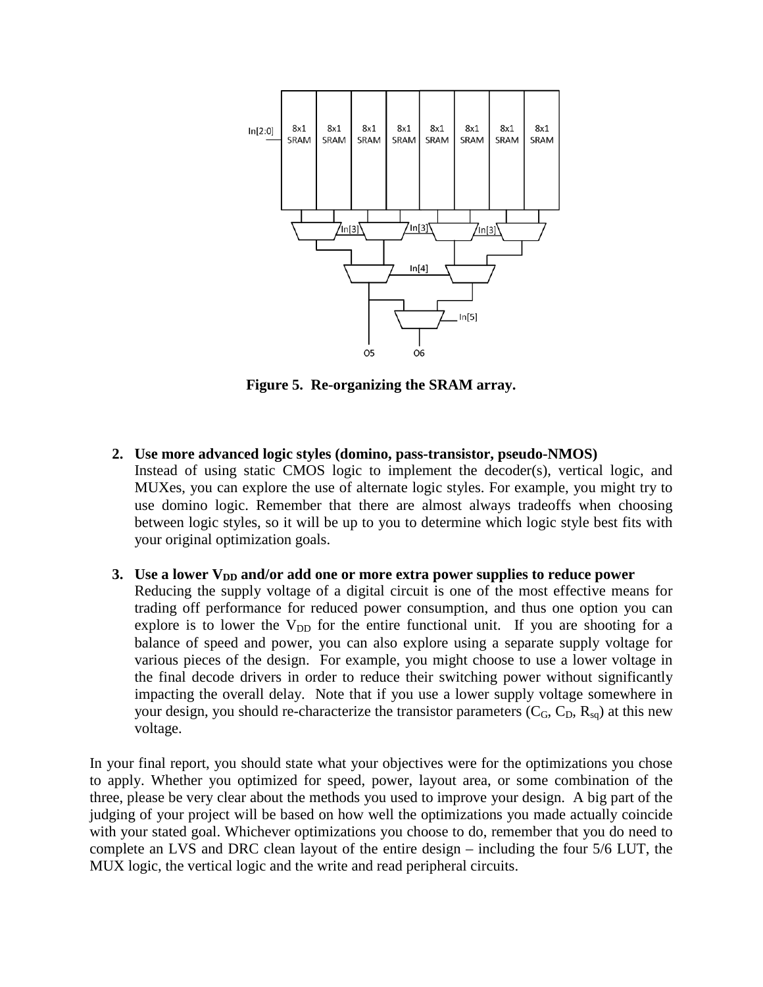

**Figure 5. Re-organizing the SRAM array.**

**2. Use more advanced logic styles (domino, pass-transistor, pseudo-NMOS)** Instead of using static CMOS logic to implement the decoder(s), vertical logic, and MUXes, you can explore the use of alternate logic styles. For example, you might try to use domino logic. Remember that there are almost always tradeoffs when choosing between logic styles, so it will be up to you to determine which logic style best fits with your original optimization goals.

#### **3.** Use a lower V<sub>DD</sub> and/or add one or more extra power supplies to reduce power

Reducing the supply voltage of a digital circuit is one of the most effective means for trading off performance for reduced power consumption, and thus one option you can explore is to lower the  $V_{DD}$  for the entire functional unit. If you are shooting for a balance of speed and power, you can also explore using a separate supply voltage for various pieces of the design. For example, you might choose to use a lower voltage in the final decode drivers in order to reduce their switching power without significantly impacting the overall delay. Note that if you use a lower supply voltage somewhere in your design, you should re-characterize the transistor parameters  $(C_G, C_D, R_{sa})$  at this new voltage.

In your final report, you should state what your objectives were for the optimizations you chose to apply. Whether you optimized for speed, power, layout area, or some combination of the three, please be very clear about the methods you used to improve your design. A big part of the judging of your project will be based on how well the optimizations you made actually coincide with your stated goal. Whichever optimizations you choose to do, remember that you do need to complete an LVS and DRC clean layout of the entire design – including the four 5/6 LUT, the MUX logic, the vertical logic and the write and read peripheral circuits.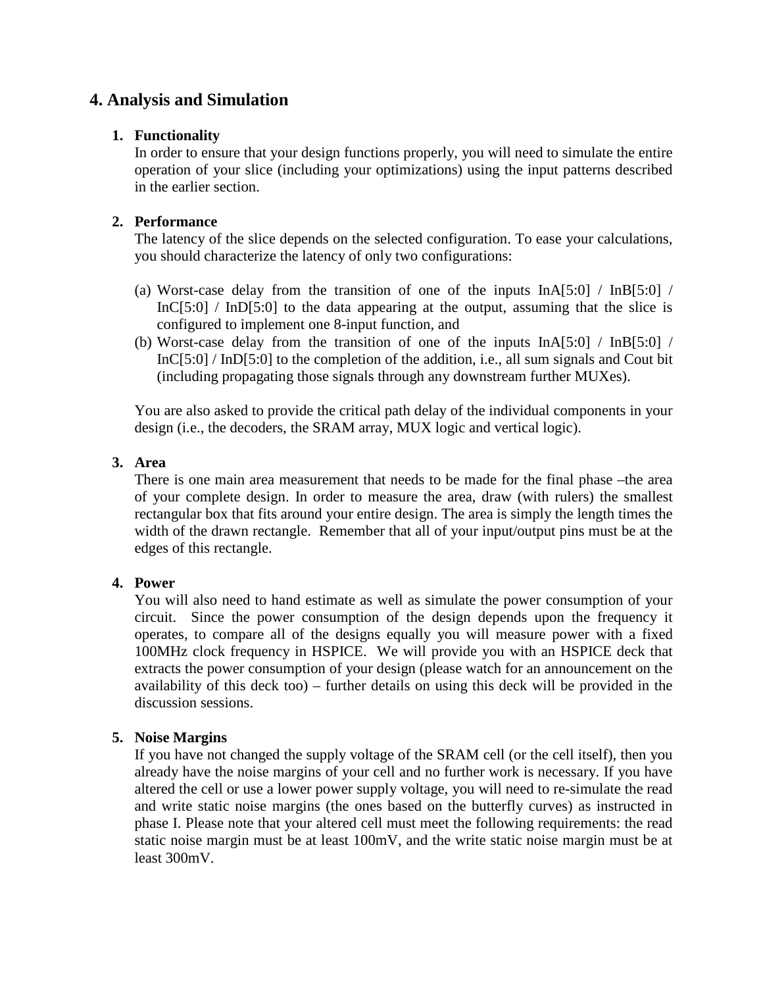## **4. Analysis and Simulation**

#### **1. Functionality**

In order to ensure that your design functions properly, you will need to simulate the entire operation of your slice (including your optimizations) using the input patterns described in the earlier section.

### **2. Performance**

The latency of the slice depends on the selected configuration. To ease your calculations, you should characterize the latency of only two configurations:

- (a) Worst-case delay from the transition of one of the inputs  $InA[5:0] / InB[5:0]$ InC[5:0] / InD[5:0] to the data appearing at the output, assuming that the slice is configured to implement one 8-input function, and
- (b) Worst-case delay from the transition of one of the inputs InA[5:0] / InB[5:0] / InC[5:0] / InD[5:0] to the completion of the addition, i.e., all sum signals and Cout bit (including propagating those signals through any downstream further MUXes).

You are also asked to provide the critical path delay of the individual components in your design (i.e., the decoders, the SRAM array, MUX logic and vertical logic).

### **3. Area**

There is one main area measurement that needs to be made for the final phase –the area of your complete design. In order to measure the area, draw (with rulers) the smallest rectangular box that fits around your entire design. The area is simply the length times the width of the drawn rectangle. Remember that all of your input/output pins must be at the edges of this rectangle.

## **4. Power**

You will also need to hand estimate as well as simulate the power consumption of your circuit. Since the power consumption of the design depends upon the frequency it operates, to compare all of the designs equally you will measure power with a fixed 100MHz clock frequency in HSPICE. We will provide you with an HSPICE deck that extracts the power consumption of your design (please watch for an announcement on the availability of this deck too) – further details on using this deck will be provided in the discussion sessions.

## **5. Noise Margins**

If you have not changed the supply voltage of the SRAM cell (or the cell itself), then you already have the noise margins of your cell and no further work is necessary. If you have altered the cell or use a lower power supply voltage, you will need to re-simulate the read and write static noise margins (the ones based on the butterfly curves) as instructed in phase I. Please note that your altered cell must meet the following requirements: the read static noise margin must be at least 100mV, and the write static noise margin must be at least 300mV.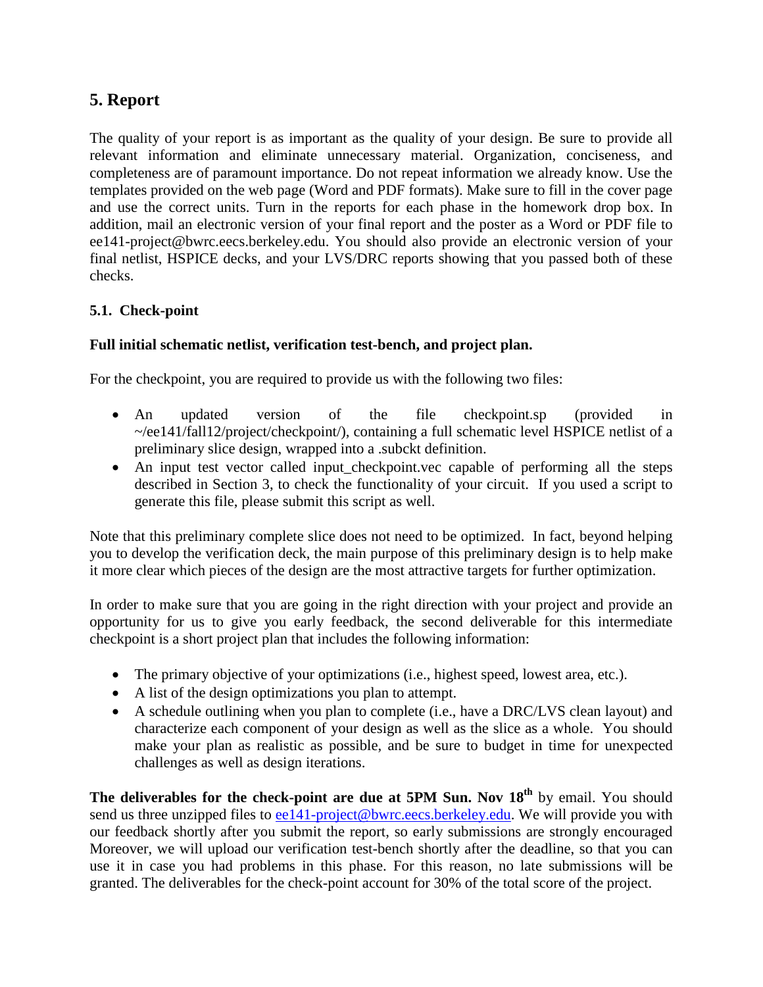# **5. Report**

The quality of your report is as important as the quality of your design. Be sure to provide all relevant information and eliminate unnecessary material. Organization, conciseness, and completeness are of paramount importance. Do not repeat information we already know. Use the templates provided on the web page (Word and PDF formats). Make sure to fill in the cover page and use the correct units. Turn in the reports for each phase in the homework drop box. In addition, mail an electronic version of your final report and the poster as a Word or PDF file to ee141-project@bwrc.eecs.berkeley.edu. You should also provide an electronic version of your final netlist, HSPICE decks, and your LVS/DRC reports showing that you passed both of these checks.

## **5.1. Check-point**

## **Full initial schematic netlist, verification test-bench, and project plan.**

For the checkpoint, you are required to provide us with the following two files:

- An updated version of the file checkpoint.sp (provided in ~/ee141/fall12/project/checkpoint/), containing a full schematic level HSPICE netlist of a preliminary slice design, wrapped into a .subckt definition.
- An input test vector called input checkpoint.vec capable of performing all the steps described in Section 3, to check the functionality of your circuit. If you used a script to generate this file, please submit this script as well.

Note that this preliminary complete slice does not need to be optimized. In fact, beyond helping you to develop the verification deck, the main purpose of this preliminary design is to help make it more clear which pieces of the design are the most attractive targets for further optimization.

In order to make sure that you are going in the right direction with your project and provide an opportunity for us to give you early feedback, the second deliverable for this intermediate checkpoint is a short project plan that includes the following information:

- The primary objective of your optimizations (i.e., highest speed, lowest area, etc.).
- A list of the design optimizations you plan to attempt.
- A schedule outlining when you plan to complete (i.e., have a DRC/LVS clean layout) and characterize each component of your design as well as the slice as a whole. You should make your plan as realistic as possible, and be sure to budget in time for unexpected challenges as well as design iterations.

The deliverables for the check-point are due at 5PM Sun. Nov 18<sup>th</sup> by email. You should send us three unzipped files to [ee141-project@bwrc.eecs.berkeley.edu.](mailto:ee141-project@bwrc.eecs.berkeley.edu) We will provide you with our feedback shortly after you submit the report, so early submissions are strongly encouraged Moreover, we will upload our verification test-bench shortly after the deadline, so that you can use it in case you had problems in this phase. For this reason, no late submissions will be granted. The deliverables for the check-point account for 30% of the total score of the project.